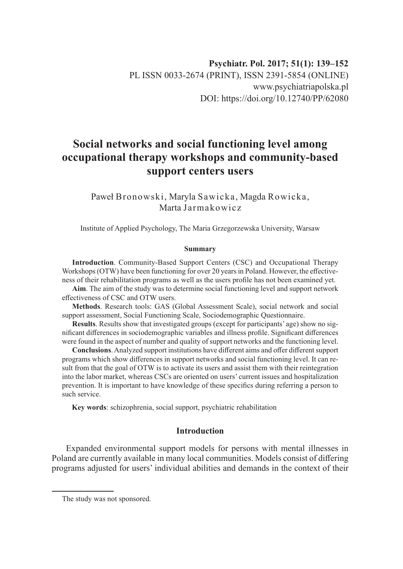# **Social networks and social functioning level among occupational therapy workshops and community-based support centers users**

Paweł Bronowski, Maryla Sawicka, Magda Rowicka, Marta Jarmakowicz

Institute of Applied Psychology, The Maria Grzegorzewska University, Warsaw

#### **Summary**

**Introduction**. Community-Based Support Centers (CSC) and Occupational Therapy Workshops (OTW) have been functioning for over 20 years in Poland. However, the effectiveness of their rehabilitation programs as well as the users profile has not been examined yet.

**Aim**. The aim of the study was to determine social functioning level and support network effectiveness of CSC and OTW users.

**Methods**. Research tools: GAS (Global Assessment Scale), social network and social support assessment, Social Functioning Scale, Sociodemographic Questionnaire.

**Results**. Results show that investigated groups (except for participants' age) show no significant differences in sociodemographic variables and illness profile. Significant differences were found in the aspect of number and quality of support networks and the functioning level.

**Conclusions**. Analyzed support institutions have different aims and offer different support programs which show differences in support networks and social functioning level. It can result from that the goal of OTW is to activate its users and assist them with their reintegration into the labor market, whereas CSCs are oriented on users' current issues and hospitalization prevention. It is important to have knowledge of these specifics during referring a person to such service.

**Key words**: schizophrenia, social support, psychiatric rehabilitation

## **Introduction**

Expanded environmental support models for persons with mental illnesses in Poland are currently available in many local communities. Models consist of differing programs adjusted for users' individual abilities and demands in the context of their

The study was not sponsored.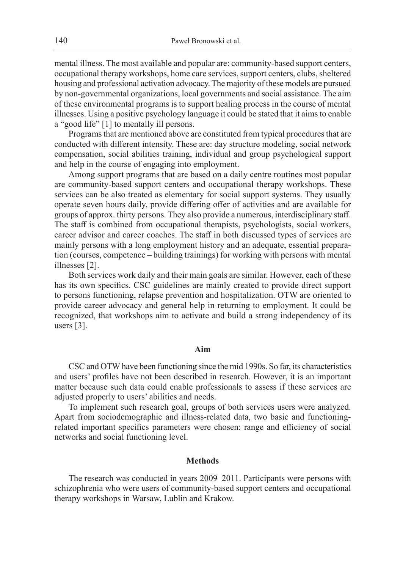mental illness. The most available and popular are: community-based support centers, occupational therapy workshops, home care services, support centers, clubs, sheltered housing and professional activation advocacy. The majority of these models are pursued by non-governmental organizations, local governments and social assistance. The aim of these environmental programs is to support healing process in the course of mental illnesses. Using a positive psychology language it could be stated that it aims to enable a "good life" [1] to mentally ill persons.

Programs that are mentioned above are constituted from typical procedures that are conducted with different intensity. These are: day structure modeling, social network compensation, social abilities training, individual and group psychological support and help in the course of engaging into employment.

Among support programs that are based on a daily centre routines most popular are community-based support centers and occupational therapy workshops. These services can be also treated as elementary for social support systems. They usually operate seven hours daily, provide differing offer of activities and are available for groups of approx. thirty persons. They also provide a numerous, interdisciplinary staff. The staff is combined from occupational therapists, psychologists, social workers, career advisor and career coaches. The staff in both discussed types of services are mainly persons with a long employment history and an adequate, essential preparation (courses, competence – building trainings) for working with persons with mental illnesses [2].

Both services work daily and their main goals are similar. However, each of these has its own specifics. CSC guidelines are mainly created to provide direct support to persons functioning, relapse prevention and hospitalization. OTW are oriented to provide career advocacy and general help in returning to employment. It could be recognized, that workshops aim to activate and build a strong independency of its users [3].

#### **Aim**

CSC and OTW have been functioning since the mid 1990s. So far, its characteristics and users' profiles have not been described in research. However, it is an important matter because such data could enable professionals to assess if these services are adjusted properly to users' abilities and needs.

To implement such research goal, groups of both services users were analyzed. Apart from sociodemographic and illness-related data, two basic and functioningrelated important specifics parameters were chosen: range and efficiency of social networks and social functioning level.

#### **Methods**

The research was conducted in years 2009–2011. Participants were persons with schizophrenia who were users of community-based support centers and occupational therapy workshops in Warsaw, Lublin and Krakow.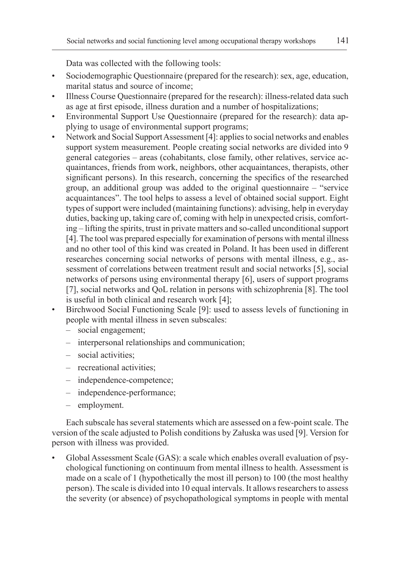Data was collected with the following tools:

- Sociodemographic Questionnaire (prepared for the research): sex, age, education, marital status and source of income;
- Illness Course Questionnaire (prepared for the research): illness-related data such as age at first episode, illness duration and a number of hospitalizations;
- Environmental Support Use Questionnaire (prepared for the research): data applying to usage of environmental support programs;
- Network and Social Support Assessment [4]: applies to social networks and enables support system measurement. People creating social networks are divided into 9 general categories – areas (cohabitants, close family, other relatives, service acquaintances, friends from work, neighbors, other acquaintances, therapists, other significant persons). In this research, concerning the specifics of the researched group, an additional group was added to the original questionnaire – "service acquaintances". The tool helps to assess a level of obtained social support. Eight types of support were included (maintaining functions): advising, help in everyday duties, backing up, taking care of, coming with help in unexpected crisis, comforting – lifting the spirits, trust in private matters and so-called unconditional support [4]. The tool was prepared especially for examination of persons with mental illness and no other tool of this kind was created in Poland. It has been used in different researches concerning social networks of persons with mental illness, e.g., assessment of correlations between treatment result and social networks [5], social networks of persons using environmental therapy [6], users of support programs [7], social networks and QoL relation in persons with schizophrenia [8]. The tool is useful in both clinical and research work [4];
- Birchwood Social Functioning Scale [9]: used to assess levels of functioning in people with mental illness in seven subscales:
	- social engagement;
	- interpersonal relationships and communication;
	- social activities;
	- recreational activities;
	- independence-competence;
	- independence-performance;
	- employment.

Each subscale has several statements which are assessed on a few-point scale. The version of the scale adjusted to Polish conditions by Załuska was used [9]. Version for person with illness was provided.

• Global Assessment Scale (GAS): a scale which enables overall evaluation of psychological functioning on continuum from mental illness to health. Assessment is made on a scale of 1 (hypothetically the most ill person) to 100 (the most healthy person). The scale is divided into 10 equal intervals. It allows researchers to assess the severity (or absence) of psychopathological symptoms in people with mental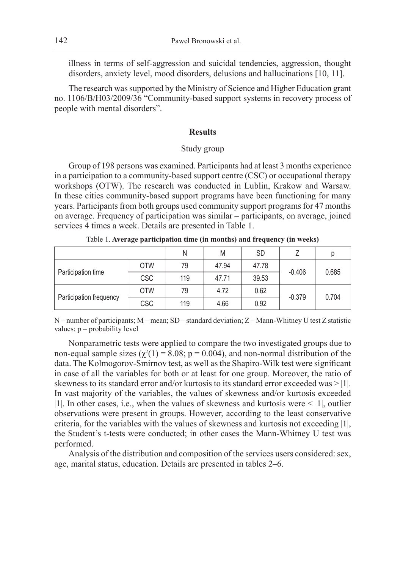illness in terms of self-aggression and suicidal tendencies, aggression, thought disorders, anxiety level, mood disorders, delusions and hallucinations [10, 11].

The research was supported by the Ministry of Science and Higher Education grant no. 1106/B/H03/2009/36 "Community-based support systems in recovery process of people with mental disorders".

### **Results**

## Study group

Group of 198 persons was examined. Participants had at least 3 months experience in a participation to a community-based support centre (CSC) or occupational therapy workshops (OTW). The research was conducted in Lublin, Krakow and Warsaw. In these cities community-based support programs have been functioning for many years. Participants from both groups used community support programs for 47 months on average. Frequency of participation was similar – participants, on average, joined services 4 times a week. Details are presented in Table 1.

|                         |            | Ν   | M     | <b>SD</b> |          | Ŋ     |  |
|-------------------------|------------|-----|-------|-----------|----------|-------|--|
| Participation time      | <b>OTW</b> | 79  | 47.94 | 47.78     | $-0.406$ |       |  |
|                         | <b>CSC</b> | 119 | 47.71 | 39.53     |          | 0.685 |  |
|                         | <b>OTW</b> | 79  | 4.72  | 0.62      |          | 0.704 |  |
| Participation frequency | <b>CSC</b> | 119 | 4.66  | 0.92      | $-0.379$ |       |  |

Table 1. **Average participation time (in months) and frequency (in weeks)**

N – number of participants; M – mean; SD – standard deviation; Z – Mann-Whitney U test Z statistic values; p – probability level

Nonparametric tests were applied to compare the two investigated groups due to non-equal sample sizes ( $\chi^2(1) = 8.08$ ; p = 0.004), and non-normal distribution of the data. The Kolmogorov-Smirnov test, as well as the Shapiro-Wilk test were significant in case of all the variables for both or at least for one group. Moreover, the ratio of skewness to its standard error and/or kurtosis to its standard error exceeded was > |1|. In vast majority of the variables, the values of skewness and/or kurtosis exceeded |1|. In other cases, i.e., when the values of skewness and kurtosis were  $\leq$  |1|, outlier observations were present in groups. However, according to the least conservative criteria, for the variables with the values of skewness and kurtosis not exceeding |1|, the Student's t-tests were conducted; in other cases the Mann-Whitney U test was performed.

Analysis of the distribution and composition of the services users considered: sex, age, marital status, education. Details are presented in tables 2–6.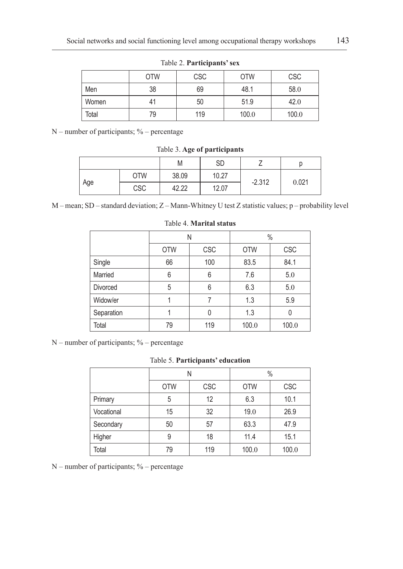|       | <b>OTW</b> | <b>CSC</b> | <b>OTW</b> | <b>CSC</b> |
|-------|------------|------------|------------|------------|
| Men   | 38         | 69         | 48.1       | 58.0       |
| Women | 41         | 50         | 51.9       | 42.0       |
| Total | 79         | 119        | 100.0      | 100.0      |

Table 2. **Participants' sex**

 $N$  – number of participants; % – percentage

Table 3. **Age of participants**

|     |            | M     | SD    |          |       |
|-----|------------|-------|-------|----------|-------|
|     | <b>OTW</b> | 38.09 | 10.27 | $-2.312$ | 0.021 |
| Age | <b>CSC</b> | 42.22 | 12.07 |          |       |

M – mean; SD – standard deviation; Z – Mann-Whitney U test Z statistic values; p – probability level

|                 | N          |            | $\frac{0}{0}$ |       |
|-----------------|------------|------------|---------------|-------|
|                 | <b>OTW</b> | <b>CSC</b> | <b>OTW</b>    | CSC   |
| Single          | 66         | 100        | 83.5          | 84.1  |
| Married         | 6          | 6          | 7.6           | 5.0   |
| <b>Divorced</b> | 5          | 6          | 6.3           | 5.0   |
| Widow/er        |            | 7          | 1.3           | 5.9   |
| Separation      |            | 0          | 1.3           | 0     |
| Total           | 79         | 119        | 100.0         | 100.0 |

Table 4. **Marital status**

 $N$  – number of participants; % – percentage

Table 5. **Participants' education**

|            |            | Ν          |            | $\%$  |
|------------|------------|------------|------------|-------|
|            | <b>OTW</b> | <b>CSC</b> | <b>OTW</b> | CSC   |
| Primary    | 5          | 12         | 6.3        | 10.1  |
| Vocational | 15         | 32         | 19.0       | 26.9  |
| Secondary  | 50         | 57         | 63.3       | 47.9  |
| Higher     | 9          | 18         | 11.4       | 15.1  |
| Total      | 79         | 119        | 100.0      | 100.0 |

N – number of participants; % – percentage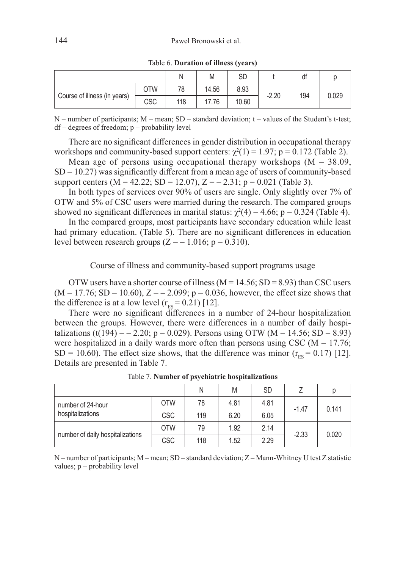|                              |            | Ν   | M     | SD    |         | df  |       |
|------------------------------|------------|-----|-------|-------|---------|-----|-------|
|                              | <b>OTW</b> | 78  | 14.56 | 8.93  | $-2.20$ |     |       |
| Course of illness (in years) | CSC        | 118 | 17.76 | 10.60 |         | 194 | 0.029 |

Table 6. **Duration of illness (years)**

 $N$  – number of participants;  $M$  – mean;  $SD$  – standard deviation; t – values of the Student's t-test; df – degrees of freedom; p – probability level

There are no significant differences in gender distribution in occupational therapy workshops and community-based support centers:  $\chi^2(1) = 1.97$ ;  $p = 0.172$  (Table 2).

Mean age of persons using occupational therapy workshops  $(M = 38.09,$  $SD = 10.27$ ) was significantly different from a mean age of users of community-based support centers (M = 42.22; SD = 12.07),  $Z = -2.31$ ; p = 0.021 (Table 3).

In both types of services over 90% of users are single. Only slightly over 7% of OTW and 5% of CSC users were married during the research. The compared groups showed no significant differences in marital status:  $\chi^2(4) = 4.66$ ; p = 0.324 (Table 4).

In the compared groups, most participants have secondary education while least had primary education. (Table 5). There are no significant differences in education level between research groups  $(Z = -1.016; p = 0.310)$ .

Course of illness and community-based support programs usage

OTW users have a shorter course of illness ( $M = 14.56$ ; SD = 8.93) than CSC users  $(M = 17.76; SD = 10.60), Z = -2.099; p = 0.036$ , however, the effect size shows that the difference is at a low level  $(r_{ES} = 0.21)$  [12].

There were no significant differences in a number of 24-hour hospitalization between the groups. However, there were differences in a number of daily hospitalizations (t(194) = – 2.20; p = 0.029). Persons using OTW (M = 14.56; SD = 8.93) were hospitalized in a daily wards more often than persons using CSC ( $M = 17.76$ ; SD = 10.60). The effect size shows, that the difference was minor  $(r_{ES} = 0.17)$  [12]. Details are presented in Table 7.

|                                  |                                                                                             | N   | M    | <b>SD</b> |  |       |
|----------------------------------|---------------------------------------------------------------------------------------------|-----|------|-----------|--|-------|
| number of 24-hour                | <b>OTW</b>                                                                                  | 78  | 4.81 | 4.81      |  | 0.141 |
| hospitalizations                 | $-1.47$<br><b>CSC</b><br>6.20<br>119<br>6.05<br><b>OTW</b><br>1.92<br>2.14<br>79<br>$-2.33$ |     |      |           |  |       |
|                                  |                                                                                             |     |      |           |  |       |
| number of daily hospitalizations | <b>CSC</b>                                                                                  | 118 | 1.52 | 2.29      |  | 0.020 |

Table 7. **Number of psychiatric hospitalizations**

N – number of participants; M – mean; SD – standard deviation; Z – Mann-Whitney U test Z statistic values; p – probability level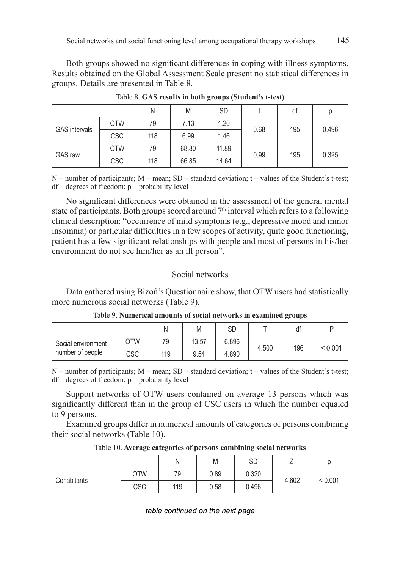Both groups showed no significant differences in coping with illness symptoms. Results obtained on the Global Assessment Scale present no statistical differences in groups. Details are presented in Table 8.

|                      |            | N   | M                      | <b>SD</b> |       | df  | р     |
|----------------------|------------|-----|------------------------|-----------|-------|-----|-------|
| <b>GAS</b> intervals | <b>OTW</b> | 79  | 7.13                   | 1.20      | 0.68  | 195 | 0.496 |
|                      | <b>CSC</b> | 118 | 6.99                   | 1.46      |       |     |       |
| <b>GAS</b> raw       | <b>OTW</b> | 79  | 68.80                  | 11.89     |       |     |       |
|                      | <b>CSC</b> | 118 | 0.99<br>66.85<br>14.64 | 195       | 0.325 |     |       |

Table 8. **GAS results in both groups (Student's t-test)**

 $N$  – number of participants;  $M$  – mean;  $SD$  – standard deviation; t – values of the Student's t-test; df – degrees of freedom; p – probability level

No significant differences were obtained in the assessment of the general mental state of participants. Both groups scored around  $7<sup>th</sup>$  interval which refers to a following clinical description: "occurrence of mild symptoms (e.g., depressive mood and minor insomnia) or particular difficulties in a few scopes of activity, quite good functioning, patient has a few significant relationships with people and most of persons in his/her environment do not see him/her as an ill person".

# Social networks

Data gathered using Bizoń's Questionnaire show, that OTW users had statistically more numerous social networks (Table 9).

|                     |     |     | M     | SD    |       | df  |              |
|---------------------|-----|-----|-------|-------|-------|-----|--------------|
| Social environment- | OTW | 79  | 13.57 | 6.896 | 4.500 | 196 | ${}_{0.001}$ |
| number of people    | CSC | 119 | 9.54  | 4.890 |       |     |              |

Table 9. **Numerical amounts of social networks in examined groups**

 $N$  – number of participants;  $M$  – mean;  $SD$  – standard deviation; t – values of the Student's t-test; df – degrees of freedom; p – probability level

Support networks of OTW users contained on average 13 persons which was significantly different than in the group of CSC users in which the number equaled to 9 persons.

Examined groups differ in numerical amounts of categories of persons combining their social networks (Table 10).

|             |            |     | M    | SD    |          |         |
|-------------|------------|-----|------|-------|----------|---------|
|             | <b>OTW</b> | 79  | 0.89 | 0.320 | $-4.602$ |         |
| Cohabitants | CSC        | 119 | 0.58 | 0.496 |          | < 0.001 |

Table 10. **Average categories of persons combining social networks**

*table continued on the next page*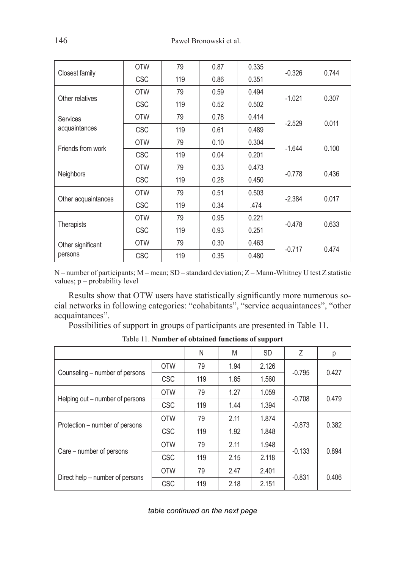| Closest family      | <b>OTW</b> | 79  | 0.87 | 0.335 | $-0.326$ | 0.744 |
|---------------------|------------|-----|------|-------|----------|-------|
|                     | <b>CSC</b> | 119 | 0.86 | 0.351 |          |       |
| Other relatives     | <b>OTW</b> | 79  | 0.59 | 0.494 | $-1.021$ | 0.307 |
|                     | <b>CSC</b> | 119 | 0.52 | 0.502 |          |       |
| <b>Services</b>     | <b>OTW</b> | 79  | 0.78 | 0.414 | $-2.529$ | 0.011 |
| acquaintances       | <b>CSC</b> | 119 | 0.61 | 0.489 |          |       |
| Friends from work   | <b>OTW</b> | 79  | 0.10 | 0.304 |          | 0.100 |
|                     | <b>CSC</b> | 119 | 0.04 | 0.201 | $-1.644$ |       |
|                     | <b>OTW</b> | 79  | 0.33 | 0.473 | $-0.778$ | 0.436 |
| Neighbors           | <b>CSC</b> | 119 | 0.28 | 0.450 |          |       |
|                     | <b>OTW</b> | 79  | 0.51 | 0.503 | $-2.384$ | 0.017 |
| Other acquaintances | <b>CSC</b> | 119 | 0.34 | .474  |          |       |
|                     | <b>OTW</b> | 79  | 0.95 | 0.221 |          |       |
| Therapists          | <b>CSC</b> | 119 | 0.93 | 0.251 | $-0.478$ | 0.633 |
| Other significant   | <b>OTW</b> | 79  | 0.30 | 0.463 | $-0.717$ | 0.474 |
| persons             | <b>CSC</b> | 119 | 0.35 | 0.480 |          |       |

N – number of participants; M – mean; SD – standard deviation; Z – Mann-Whitney U test Z statistic values; p – probability level

Results show that OTW users have statistically significantly more numerous social networks in following categories: "cohabitants", "service acquaintances", "other acquaintances".

Possibilities of support in groups of participants are presented in Table 11.

|                                 |            | N   | M    | <b>SD</b> | Z        | р     |
|---------------------------------|------------|-----|------|-----------|----------|-------|
|                                 | <b>OTW</b> | 79  | 1.94 | 2.126     | $-0.795$ | 0.427 |
| Counseling – number of persons  | <b>CSC</b> | 119 | 1.85 | 1.560     |          |       |
|                                 | <b>OTW</b> | 79  | 1.27 | 1.059     | $-0.708$ | 0.479 |
| Helping out – number of persons | <b>CSC</b> | 119 | 1.44 | 1.394     |          |       |
|                                 | <b>OTW</b> | 79  | 2.11 | 1.874     | $-0.873$ | 0.382 |
| Protection – number of persons  | <b>CSC</b> | 119 | 1.92 | 1.848     |          |       |
|                                 | <b>OTW</b> | 79  | 2.11 | 1.948     | $-0.133$ | 0.894 |
| Care – number of persons        | <b>CSC</b> | 119 | 2.15 | 2.118     |          |       |
| Direct help – number of persons | <b>OTW</b> | 79  | 2.47 | 2.401     | $-0.831$ |       |
|                                 | <b>CSC</b> | 119 | 2.18 | 2.151     |          | 0.406 |

Table 11. **Number of obtained functions of support**

|  | table continued on the next page |  |  |  |  |
|--|----------------------------------|--|--|--|--|
|--|----------------------------------|--|--|--|--|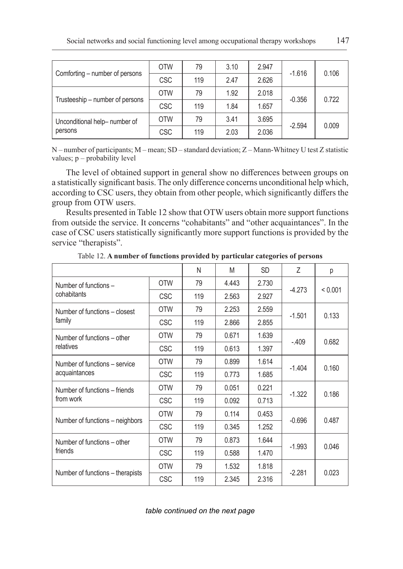|                                 | <b>OTW</b> | 79  | 3.10 | 2.947 |          | 0.106 |
|---------------------------------|------------|-----|------|-------|----------|-------|
| Comforting – number of persons  | <b>CSC</b> | 119 | 2.47 | 2.626 | $-1.616$ |       |
|                                 | <b>OTW</b> | 79  | 1.92 | 2.018 | $-0.356$ | 0.722 |
| Trusteeship – number of persons | <b>CSC</b> | 119 | 1.84 | 1.657 |          |       |
| Unconditional help- number of   | <b>OTW</b> | 79  | 3.41 | 3.695 | $-2.594$ |       |
| persons                         | <b>CSC</b> | 119 | 2.03 | 2.036 |          | 0.009 |

N – number of participants; M – mean; SD – standard deviation; Z – Mann-Whitney U test Z statistic values; p – probability level

The level of obtained support in general show no differences between groups on a statistically significant basis. The only difference concerns unconditional help which, according to CSC users, they obtain from other people, which significantly differs the group from OTW users.

Results presented in Table 12 show that OTW users obtain more support functions from outside the service. It concerns "cohabitants" and "other acquaintances". In the case of CSC users statistically significantly more support functions is provided by the service "therapists".

|                                  |            | N   | M     | <b>SD</b> | 7        | р       |
|----------------------------------|------------|-----|-------|-----------|----------|---------|
| Number of functions -            | <b>OTW</b> | 79  | 4.443 | 2.730     | $-4.273$ | < 0.001 |
| cohabitants                      | <b>CSC</b> | 119 | 2.563 | 2.927     |          |         |
| Number of functions - closest    | <b>OTW</b> | 79  | 2.253 | 2.559     |          | 0.133   |
| family                           | <b>CSC</b> | 119 | 2.866 | 2.855     | $-1.501$ |         |
| Number of functions – other      | <b>OTW</b> | 79  | 0.671 | 1.639     | $-.409$  | 0.682   |
| relatives                        | <b>CSC</b> | 119 | 0.613 | 1.397     |          |         |
| Number of functions - service    | <b>OTW</b> | 79  | 0.899 | 1.614     | $-1.404$ | 0.160   |
| acquaintances                    | <b>CSC</b> | 119 | 0.773 | 1.685     |          |         |
| Number of functions – friends    | <b>OTW</b> | 79  | 0.051 | 0.221     | $-1.322$ | 0.186   |
| from work                        | <b>CSC</b> | 119 | 0.092 | 0.713     |          |         |
|                                  | <b>OTW</b> | 79  | 0.114 | 0.453     | $-0.696$ | 0.487   |
| Number of functions – neighbors  | <b>CSC</b> | 119 | 0.345 | 1.252     |          |         |
| Number of functions – other      | <b>OTW</b> | 79  | 0.873 | 1.644     | $-1.993$ | 0.046   |
| friends                          | <b>CSC</b> | 119 | 0.588 | 1.470     |          |         |
|                                  | <b>OTW</b> | 79  | 1.532 | 1.818     | $-2.281$ | 0.023   |
| Number of functions - therapists | <b>CSC</b> | 119 | 2.345 | 2.316     |          |         |

Table 12. **A number of functions provided by particular categories of persons**

*table continued on the next page*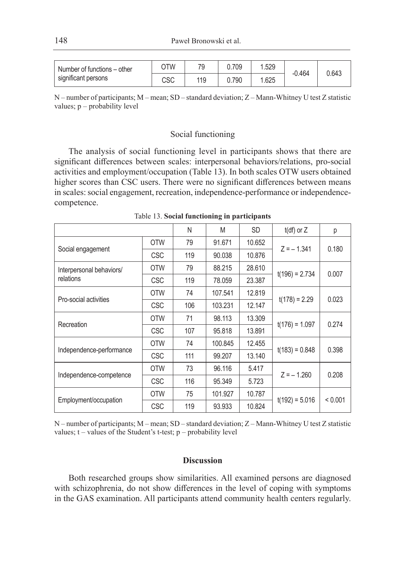| Number of functions – other | OTW        | 70  | 0.709 | .529  | $-0.464$ | 0.643 |
|-----------------------------|------------|-----|-------|-------|----------|-------|
| significant persons         | rer<br>∪໐ບ | 119 | 0.790 | 1.625 |          |       |

N – number of participants; M – mean; SD – standard deviation; Z – Mann-Whitney U test Z statistic values; p – probability level

#### Social functioning

The analysis of social functioning level in participants shows that there are significant differences between scales: interpersonal behaviors/relations, pro-social activities and employment/occupation (Table 13). In both scales OTW users obtained higher scores than CSC users. There were no significant differences between means in scales: social engagement, recreation, independence-performance or independencecompetence.

|                          |            | N   | M       | SD.    | $t(df)$ or $Z$   | р       |
|--------------------------|------------|-----|---------|--------|------------------|---------|
|                          | <b>OTW</b> | 79  | 91.671  | 10.652 | $Z = -1.341$     | 0.180   |
| Social engagement        | <b>CSC</b> | 119 | 90.038  | 10.876 |                  |         |
| Interpersonal behaviors/ | <b>OTW</b> | 79  | 88.215  | 28.610 |                  | 0.007   |
| relations                | <b>CSC</b> | 119 | 78.059  | 23.387 | $t(196) = 2.734$ |         |
|                          | <b>OTW</b> | 74  | 107.541 | 12.819 |                  | 0.023   |
| Pro-social activities    | <b>CSC</b> | 106 | 103.231 | 12.147 | $t(178) = 2.29$  |         |
|                          | <b>OTW</b> | 71  | 98.113  | 13.309 |                  | 0.274   |
| Recreation               | <b>CSC</b> | 107 | 95.818  | 13.891 | $t(176) = 1.097$ |         |
|                          | <b>OTW</b> | 74  | 100.845 | 12.455 |                  | 0.398   |
| Independence-performance | <b>CSC</b> | 111 | 99.207  | 13.140 | $t(183) = 0.848$ |         |
|                          | <b>OTW</b> | 73  | 96.116  | 5.417  | $Z = -1.260$     | 0.208   |
| Independence-competence  | <b>CSC</b> | 116 | 95.349  | 5.723  |                  |         |
|                          | <b>OTW</b> | 75  | 101.927 | 10.787 |                  | < 0.001 |
| Employment/occupation    | <b>CSC</b> | 119 | 93.933  | 10.824 | $t(192) = 5.016$ |         |

Table 13. **Social functioning in participants**

N – number of participants; M – mean; SD – standard deviation; Z – Mann-Whitney U test Z statistic values;  $t$  – values of the Student's t-test;  $p$  – probability level

# **Discussion**

Both researched groups show similarities. All examined persons are diagnosed with schizophrenia, do not show differences in the level of coping with symptoms in the GAS examination. All participants attend community health centers regularly.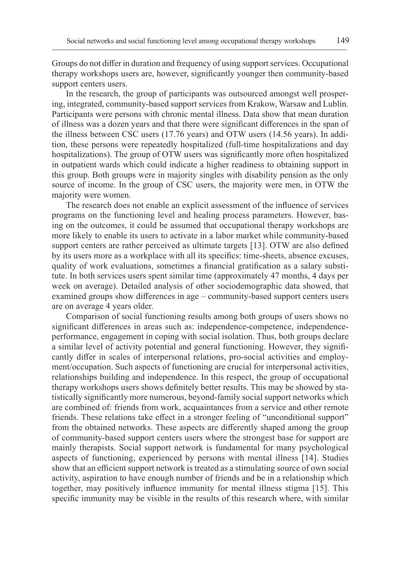Groups do not differ in duration and frequency of using support services. Occupational therapy workshops users are, however, significantly younger then community-based support centers users.

In the research, the group of participants was outsourced amongst well prospering, integrated, community-based support services from Krakow, Warsaw and Lublin. Participants were persons with chronic mental illness. Data show that mean duration of illness was a dozen years and that there were significant differences in the span of the illness between CSC users (17.76 years) and OTW users (14.56 years). In addition, these persons were repeatedly hospitalized (full-time hospitalizations and day hospitalizations). The group of OTW users was significantly more often hospitalized in outpatient wards which could indicate a higher readiness to obtaining support in this group. Both groups were in majority singles with disability pension as the only source of income. In the group of CSC users, the majority were men, in OTW the majority were women.

The research does not enable an explicit assessment of the influence of services programs on the functioning level and healing process parameters. However, basing on the outcomes, it could be assumed that occupational therapy workshops are more likely to enable its users to activate in a labor market while community-based support centers are rather perceived as ultimate targets [13]. OTW are also defined by its users more as a workplace with all its specifics: time-sheets, absence excuses, quality of work evaluations, sometimes a financial gratification as a salary substitute. In both services users spent similar time (approximately 47 months, 4 days per week on average). Detailed analysis of other sociodemographic data showed, that examined groups show differences in age – community-based support centers users are on average 4 years older.

Comparison of social functioning results among both groups of users shows no significant differences in areas such as: independence-competence, independenceperformance, engagement in coping with social isolation. Thus, both groups declare a similar level of activity potential and general functioning. However, they significantly differ in scales of interpersonal relations, pro-social activities and employment/occupation. Such aspects of functioning are crucial for interpersonal activities, relationships building and independence. In this respect, the group of occupational therapy workshops users shows definitely better results. This may be showed by statistically significantly more numerous, beyond-family social support networks which are combined of: friends from work, acquaintances from a service and other remote friends. These relations take effect in a stronger feeling of "unconditional support" from the obtained networks. These aspects are differently shaped among the group of community-based support centers users where the strongest base for support are mainly therapists. Social support network is fundamental for many psychological aspects of functioning, experienced by persons with mental illness [14]. Studies show that an efficient support network is treated as a stimulating source of own social activity, aspiration to have enough number of friends and be in a relationship which together, may positively influence immunity for mental illness stigma [15]. This specific immunity may be visible in the results of this research where, with similar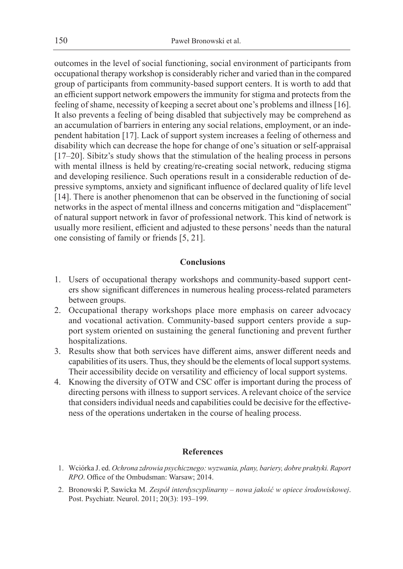outcomes in the level of social functioning, social environment of participants from occupational therapy workshop is considerably richer and varied than in the compared group of participants from community-based support centers. It is worth to add that an efficient support network empowers the immunity for stigma and protects from the feeling of shame, necessity of keeping a secret about one's problems and illness [16]. It also prevents a feeling of being disabled that subjectively may be comprehend as an accumulation of barriers in entering any social relations, employment, or an independent habitation [17]. Lack of support system increases a feeling of otherness and disability which can decrease the hope for change of one's situation or self-appraisal [17–20]. Sibitz's study shows that the stimulation of the healing process in persons with mental illness is held by creating/re-creating social network, reducing stigma and developing resilience. Such operations result in a considerable reduction of depressive symptoms, anxiety and significant influence of declared quality of life level [14]. There is another phenomenon that can be observed in the functioning of social networks in the aspect of mental illness and concerns mitigation and "displacement" of natural support network in favor of professional network. This kind of network is usually more resilient, efficient and adjusted to these persons' needs than the natural one consisting of family or friends [5, 21].

# **Conclusions**

- 1. Users of occupational therapy workshops and community-based support centers show significant differences in numerous healing process-related parameters between groups.
- 2. Occupational therapy workshops place more emphasis on career advocacy and vocational activation. Community-based support centers provide a support system oriented on sustaining the general functioning and prevent further hospitalizations.
- 3. Results show that both services have different aims, answer different needs and capabilities of its users. Thus, they should be the elements of local support systems. Their accessibility decide on versatility and efficiency of local support systems.
- 4. Knowing the diversity of OTW and CSC offer is important during the process of directing persons with illness to support services. A relevant choice of the service that considers individual needs and capabilities could be decisive for the effectiveness of the operations undertaken in the course of healing process.

## **References**

- 1. Wciórka J. ed. *Ochrona zdrowia psychicznego: wyzwania, plany, bariery, dobre praktyki. Raport RPO*. Office of the Ombudsman: Warsaw; 2014.
- 2. Bronowski P, Sawicka M. *Zespół interdyscyplinarny nowa jakość w opiece środowiskowej*. Post. Psychiatr. Neurol. 2011; 20(3): 193–199.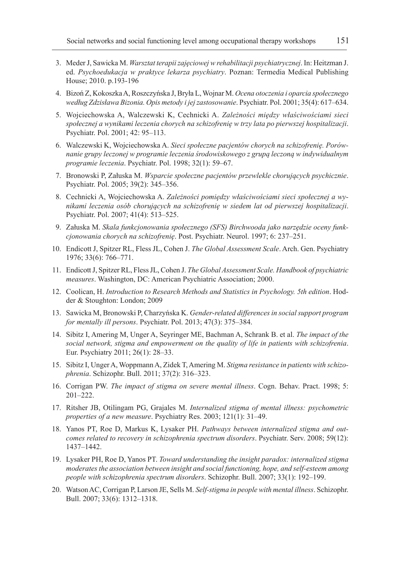- 3. Meder J, Sawicka M. *Warsztat terapii zajęciowej w rehabilitacji psychiatrycznej*. In: Heitzman J. ed. *Psychoedukacja w praktyce lekarza psychiatry*. Poznan: Termedia Medical Publishing House; 2010. p.193-196
- 4. Bizoń Z, Kokoszka A, Roszczyńska J, Bryła L, Wojnar M. *Ocena otoczenia i oparcia społecznego według Zdzisława Bizonia. Opis metody i jej zastosowanie*. Psychiatr. Pol. 2001; 35(4): 617–634.
- 5. Wojciechowska A, Walczewski K, Cechnicki A. *Zależności między właściwościami sieci społecznej a wynikami leczenia chorych na schizofrenię w trzy lata po pierwszej hospitalizacji*. Psychiatr. Pol. 2001; 42: 95–113.
- 6. Walczewski K, Wojciechowska A. *Sieci społeczne pacjentów chorych na schizofrenię. Porównanie grupy leczonej w programie leczenia środowiskowego z grupą leczoną w indywidualnym programie leczenia*. Psychiatr. Pol. 1998; 32(1): 59–67.
- 7. Bronowski P, Załuska M. *Wsparcie społeczne pacjentów przewlekle chorujących psychicznie*. Psychiatr. Pol. 2005; 39(2): 345–356.
- 8. Cechnicki A, Wojciechowska A. *Zależności pomiędzy właściwościami sieci społecznej a wynikami leczenia osób chorujących na schizofrenię w siedem lat od pierwszej hospitalizacji*. Psychiatr. Pol. 2007; 41(4): 513–525.
- 9. Załuska M. *Skala funkcjonowania społecznego (SFS) Birchwooda jako narzędzie oceny funkcjonowania chorych na schizofrenię*. Post. Psychiatr. Neurol. 1997; 6: 237–251.
- 10. Endicott J, Spitzer RL, Fless JL, Cohen J. *The Global Assessment Scale*. Arch. Gen. Psychiatry 1976; 33(6): 766–771.
- 11. Endicott J, Spitzer RL, Fless JL, Cohen J. *The Global Assessment Scale. Handbook of psychiatric measures*. Washington, DC: American Psychiatric Association; 2000.
- 12. Coolican, H. *Introduction to Research Methods and Statistics in Psychology. 5th edition*. Hodder & Stoughton: London; 2009
- 13. Sawicka M, Bronowski P, Charzyńska K. *Gender-related differences in social support program for mentally ill persons*. Psychiatr. Pol. 2013; 47(3): 375–384.
- 14. Sibitz I, Amering M, Unger A, Seyringer ME, Bachman A, Schrank B. et al. *The impact of the social network, stigma and empowerment on the quality of life in patients with schizofrenia*. Eur. Psychiatry 2011; 26(1): 28–33.
- 15. Sibitz I, Unger A, Woppmann A, Zidek T, Amering M. *Stigma resistance in patients with schizophrenia*. Schizophr. Bull. 2011; 37(2): 316–323.
- 16. Corrigan PW. *The impact of stigma on severe mental illness*. Cogn. Behav. Pract. 1998; 5: 201–222.
- 17. Ritsher JB, Otilingam PG, Grajales M. *Internalized stigma of mental illness: psychometric properties of a new measure*. Psychiatry Res. 2003; 121(1): 31–49.
- 18. Yanos PT, Roe D, Markus K, Lysaker PH. *Pathways between internalized stigma and outcomes related to recovery in schizophrenia spectrum disorders*. Psychiatr. Serv. 2008; 59(12): 1437–1442.
- 19. Lysaker PH, Roe D, Yanos PT. *Toward understanding the insight paradox: internalized stigma moderates the association between insight and social functioning, hope, and self-esteem among people with schizophrenia spectrum disorders*. Schizophr. Bull. 2007; 33(1): 192–199.
- 20. Watson AC, Corrigan P, Larson JE, Sells M. *Self-stigma in people with mental illness*. Schizophr. Bull. 2007; 33(6): 1312–1318.